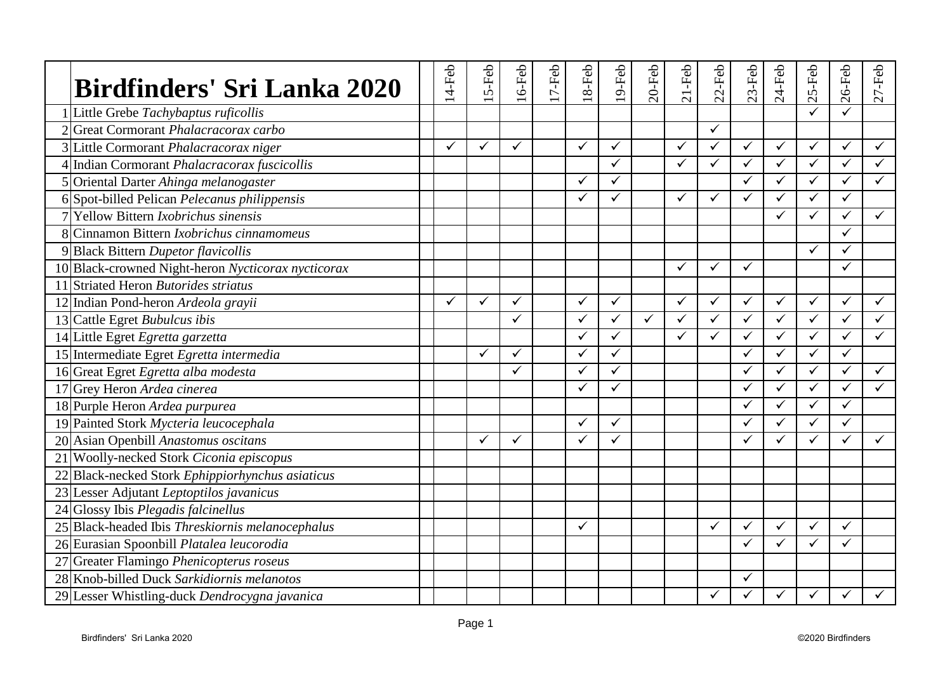| Birdfinders' Sri Lanka 2020                        | $14$ -Feb    | 5-Feb        | $16$ -Feb    | $17-Feb$ | $18-Feb$     | 19-Feb                  | $20$ -Feb | $21-Feb$     | $22$ -Feb    | $23-Feb$     | $24-Feb$     | 25-Feb       | 26-Feb       | $27-Feb$     |
|----------------------------------------------------|--------------|--------------|--------------|----------|--------------|-------------------------|-----------|--------------|--------------|--------------|--------------|--------------|--------------|--------------|
| 1 Little Grebe Tachybaptus ruficollis              |              |              |              |          |              |                         |           |              |              |              |              |              |              |              |
| 2 Great Cormorant Phalacracorax carbo              |              |              |              |          |              |                         |           |              | ✓            |              |              |              |              |              |
| 3 Little Cormorant Phalacracorax niger             | $\checkmark$ | ✓            | ✓            |          | ✓            | $\checkmark$            |           | ✓            | ✓            | $\checkmark$ | $\checkmark$ | ✓            | $\checkmark$ | $\checkmark$ |
| 4 Indian Cormorant Phalacracorax fuscicollis       |              |              |              |          |              | $\checkmark$            |           | $\checkmark$ | ✓            | $\checkmark$ | $\checkmark$ | $\checkmark$ | $\checkmark$ | $\checkmark$ |
| 5 Oriental Darter Ahinga melanogaster              |              |              |              |          | ✓            | $\checkmark$            |           |              |              | ✓            | $\checkmark$ | ✓            | $\checkmark$ | ✓            |
| 6 Spot-billed Pelican Pelecanus philippensis       |              |              |              |          | ✓            | ✓                       |           | ✓            | ✓            | $\checkmark$ | $\checkmark$ | $\checkmark$ | $\checkmark$ |              |
| 7 Yellow Bittern <i>Ixobrichus sinensis</i>        |              |              |              |          |              |                         |           |              |              |              | $\checkmark$ | ✓            | $\checkmark$ | $\checkmark$ |
| 8 Cinnamon Bittern <i>Ixobrichus cinnamomeus</i>   |              |              |              |          |              |                         |           |              |              |              |              |              | $\checkmark$ |              |
| 9 Black Bittern Dupetor flavicollis                |              |              |              |          |              |                         |           |              |              |              |              | ✓            | ✓            |              |
| 10 Black-crowned Night-heron Nycticorax nycticorax |              |              |              |          |              |                         |           | $\checkmark$ | ✓            | $\checkmark$ |              |              | $\checkmark$ |              |
| 11 Striated Heron Butorides striatus               |              |              |              |          |              |                         |           |              |              |              |              |              |              |              |
| 12 Indian Pond-heron Ardeola grayii                | ✓            | ✓            | ✓            |          | ✓            | $\checkmark$            |           | ✓            | ✓            | $\checkmark$ | ✓            | $\checkmark$ | $\checkmark$ | $\checkmark$ |
| 13 Cattle Egret Bubulcus ibis                      |              |              | ✓            |          | $\checkmark$ | $\overline{\checkmark}$ | ✓         | $\checkmark$ | $\checkmark$ | $\checkmark$ | $\checkmark$ | $\checkmark$ | $\checkmark$ | $\checkmark$ |
| 14 Little Egret Egretta garzetta                   |              |              |              |          | ✓            | $\checkmark$            |           | ✓            | ✓            | $\checkmark$ | ✓            | ✓            | $\checkmark$ | $\checkmark$ |
| 15 Intermediate Egret Egretta intermedia           |              | $\checkmark$ | $\checkmark$ |          | $\checkmark$ | $\checkmark$            |           |              |              | ✓            | $\checkmark$ | ✓            | $\checkmark$ |              |
| 16 Great Egret Egretta alba modesta                |              |              | ✓            |          | ✓            | $\checkmark$            |           |              |              | $\checkmark$ | $\checkmark$ | ✓            | $\checkmark$ | $\checkmark$ |
| 17 Grey Heron Ardea cinerea                        |              |              |              |          | ✓            | $\checkmark$            |           |              |              | ✓            | ✓            | $\checkmark$ | $\checkmark$ | ✓            |
| 18 Purple Heron Ardea purpurea                     |              |              |              |          |              |                         |           |              |              | ✓            | $\checkmark$ | $\checkmark$ | $\checkmark$ |              |
| 19 Painted Stork Mycteria leucocephala             |              |              |              |          | ✓            | $\checkmark$            |           |              |              | $\checkmark$ | ✓            | ✓            | $\checkmark$ |              |
| 20 Asian Openbill Anastomus oscitans               |              | ✓            | ✓            |          | $\checkmark$ | $\checkmark$            |           |              |              | $\checkmark$ | ✓            | ✓            | $\checkmark$ | $\checkmark$ |
| 21 Woolly-necked Stork Ciconia episcopus           |              |              |              |          |              |                         |           |              |              |              |              |              |              |              |
| 22 Black-necked Stork Ephippiorhynchus asiaticus   |              |              |              |          |              |                         |           |              |              |              |              |              |              |              |
| 23 Lesser Adjutant Leptoptilos javanicus           |              |              |              |          |              |                         |           |              |              |              |              |              |              |              |
| 24 Glossy Ibis Plegadis falcinellus                |              |              |              |          |              |                         |           |              |              |              |              |              |              |              |
| 25 Black-headed Ibis Threskiornis melanocephalus   |              |              |              |          | $\checkmark$ |                         |           |              | ✓            | $\checkmark$ | ✓            | ✓            | $\checkmark$ |              |
| 26 Eurasian Spoonbill Platalea leucorodia          |              |              |              |          |              |                         |           |              |              | ✓            | ✓            |              | $\checkmark$ |              |
| 27 Greater Flamingo Phenicopterus roseus           |              |              |              |          |              |                         |           |              |              |              |              |              |              |              |
| 28 Knob-billed Duck Sarkidiornis melanotos         |              |              |              |          |              |                         |           |              |              | ✓            |              |              |              |              |
| 29 Lesser Whistling-duck Dendrocygna javanica      |              |              |              |          |              |                         |           |              | ✓            | ✓            | ✓            |              | ✓            | ✓            |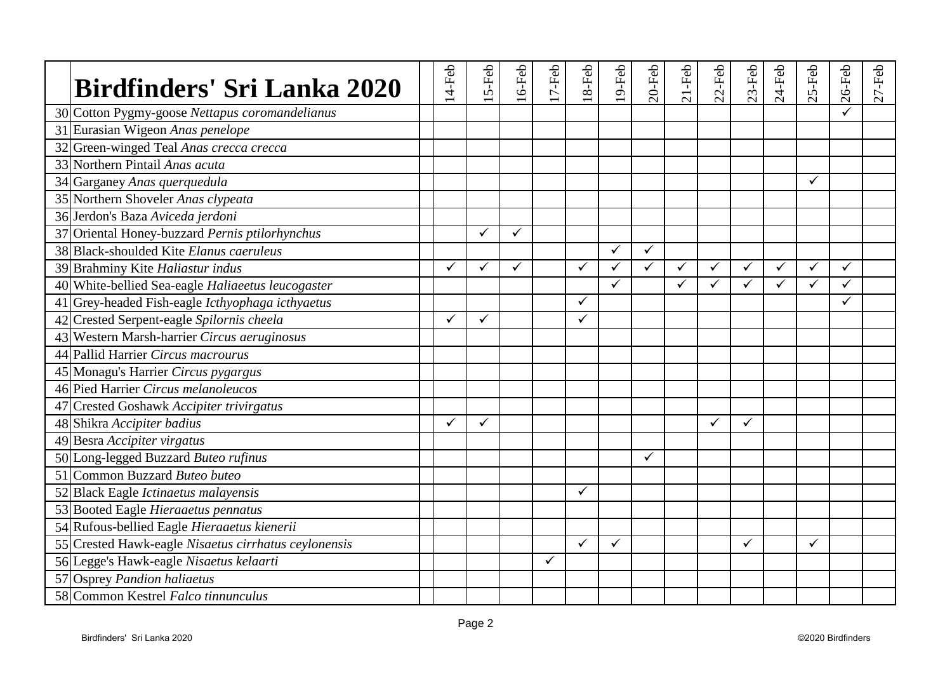| <b>Birdfinders' Sri Lanka 2020</b>                   | 14-Feb | 5-Feb        | $16$ -Feb    | $17-Feb$ | $18-Feb$     | $19$ -Feb    | $20$ -Feb    | $21-Feb$     | $22$ -Feb    | $23$ -Feb    | $24-Feb$ | $25$ -Feb    | $26$ -Feb    | $27-Feb$ |
|------------------------------------------------------|--------|--------------|--------------|----------|--------------|--------------|--------------|--------------|--------------|--------------|----------|--------------|--------------|----------|
| 30 Cotton Pygmy-goose Nettapus coromandelianus       |        |              |              |          |              |              |              |              |              |              |          |              |              |          |
| 31 Eurasian Wigeon Anas penelope                     |        |              |              |          |              |              |              |              |              |              |          |              |              |          |
| 32 Green-winged Teal Anas crecca crecca              |        |              |              |          |              |              |              |              |              |              |          |              |              |          |
| 33 Northern Pintail Anas acuta                       |        |              |              |          |              |              |              |              |              |              |          |              |              |          |
| 34 Garganey Anas querquedula                         |        |              |              |          |              |              |              |              |              |              |          | ✓            |              |          |
| 35 Northern Shoveler Anas clypeata                   |        |              |              |          |              |              |              |              |              |              |          |              |              |          |
| 36 Jerdon's Baza Aviceda jerdoni                     |        |              |              |          |              |              |              |              |              |              |          |              |              |          |
| 37 Oriental Honey-buzzard Pernis ptilorhynchus       |        | ✓            | $\checkmark$ |          |              |              |              |              |              |              |          |              |              |          |
| 38 Black-shoulded Kite Elanus caeruleus              |        |              |              |          |              | $\checkmark$ | $\checkmark$ |              |              |              |          |              |              |          |
| 39 Brahminy Kite Haliastur indus                     | ✓      | ✓            | $\checkmark$ |          | ✓            | $\checkmark$ | ✓            | $\checkmark$ | $\checkmark$ | ✓            | ✓        | $\checkmark$ | $\checkmark$ |          |
| 40 White-bellied Sea-eagle Haliaeetus leucogaster    |        |              |              |          |              | $\checkmark$ |              | ✓            | $\checkmark$ | $\checkmark$ | ✓        | ✓            | ✓            |          |
| 41 Grey-headed Fish-eagle Icthyophaga icthyaetus     |        |              |              |          | ✓            |              |              |              |              |              |          |              | ✓            |          |
| 42 Crested Serpent-eagle Spilornis cheela            | ✓      | $\checkmark$ |              |          | $\checkmark$ |              |              |              |              |              |          |              |              |          |
| 43 Western Marsh-harrier Circus aeruginosus          |        |              |              |          |              |              |              |              |              |              |          |              |              |          |
| 44 Pallid Harrier Circus macrourus                   |        |              |              |          |              |              |              |              |              |              |          |              |              |          |
| 45 Monagu's Harrier Circus pygargus                  |        |              |              |          |              |              |              |              |              |              |          |              |              |          |
| 46 Pied Harrier Circus melanoleucos                  |        |              |              |          |              |              |              |              |              |              |          |              |              |          |
| 47 Crested Goshawk Accipiter trivirgatus             |        |              |              |          |              |              |              |              |              |              |          |              |              |          |
| 48 Shikra Accipiter badius                           | ✓      | ✓            |              |          |              |              |              |              | ✓            | $\checkmark$ |          |              |              |          |
| 49 Besra Accipiter virgatus                          |        |              |              |          |              |              |              |              |              |              |          |              |              |          |
| 50 Long-legged Buzzard Buteo rufinus                 |        |              |              |          |              |              | ✓            |              |              |              |          |              |              |          |
| 51 Common Buzzard Buteo buteo                        |        |              |              |          |              |              |              |              |              |              |          |              |              |          |
| 52 Black Eagle Ictinaetus malayensis                 |        |              |              |          | ✓            |              |              |              |              |              |          |              |              |          |
| 53 Booted Eagle Hieraaetus pennatus                  |        |              |              |          |              |              |              |              |              |              |          |              |              |          |
| 54 Rufous-bellied Eagle Hieraaetus kienerii          |        |              |              |          |              |              |              |              |              |              |          |              |              |          |
| 55 Crested Hawk-eagle Nisaetus cirrhatus ceylonensis |        |              |              |          | $\checkmark$ | ✓            |              |              |              | ✓            |          | ✓            |              |          |
| 56 Legge's Hawk-eagle Nisaetus kelaarti              |        |              |              | ✓        |              |              |              |              |              |              |          |              |              |          |
| 57 Osprey Pandion haliaetus                          |        |              |              |          |              |              |              |              |              |              |          |              |              |          |
| 58 Common Kestrel Falco tinnunculus                  |        |              |              |          |              |              |              |              |              |              |          |              |              |          |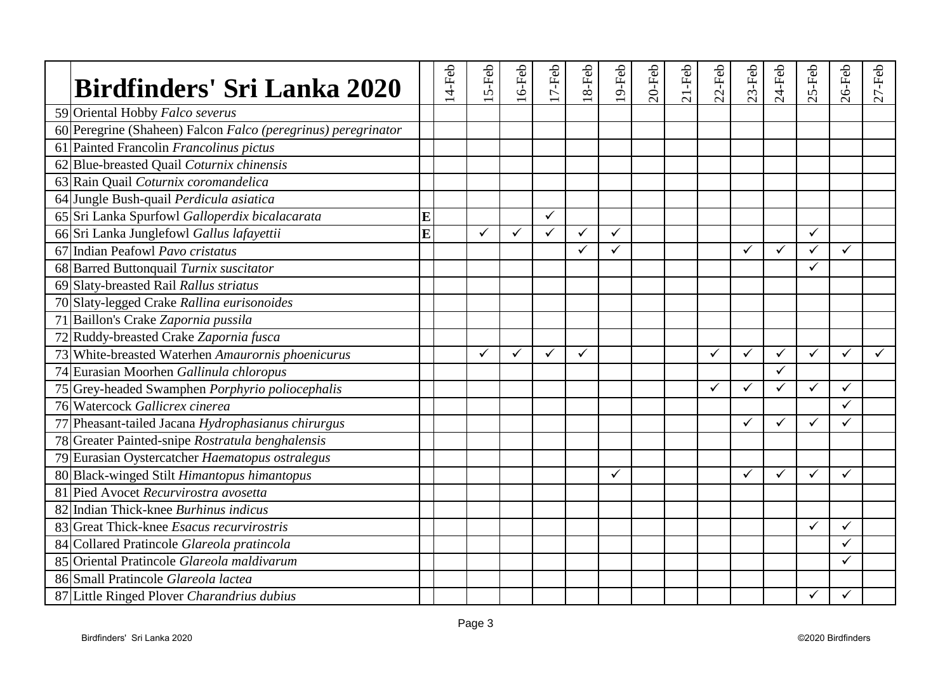| Birdfinders' Sri Lanka 2020                                   |   | $14$ -Feb | 5-Feb        | 6-Feb | 7-Feb        | 8-Feb | 9-Feb        | $20$ -Feb | $21-Feb$ | $22$ -Feb    | $23$ -Feb    | $24-Feb$     | S-Feb<br>$\sim$ | $26$ -Feb    | $27 - Feb$   |
|---------------------------------------------------------------|---|-----------|--------------|-------|--------------|-------|--------------|-----------|----------|--------------|--------------|--------------|-----------------|--------------|--------------|
| 59 Oriental Hobby Falco severus                               |   |           |              |       |              |       |              |           |          |              |              |              |                 |              |              |
| 60 Peregrine (Shaheen) Falcon Falco (peregrinus) peregrinator |   |           |              |       |              |       |              |           |          |              |              |              |                 |              |              |
| 61 Painted Francolin Francolinus pictus                       |   |           |              |       |              |       |              |           |          |              |              |              |                 |              |              |
| 62 Blue-breasted Quail Coturnix chinensis                     |   |           |              |       |              |       |              |           |          |              |              |              |                 |              |              |
| 63 Rain Quail Coturnix coromandelica                          |   |           |              |       |              |       |              |           |          |              |              |              |                 |              |              |
| 64 Jungle Bush-quail Perdicula asiatica                       |   |           |              |       |              |       |              |           |          |              |              |              |                 |              |              |
| 65 Sri Lanka Spurfowl Galloperdix bicalacarata                | E |           |              |       | $\checkmark$ |       |              |           |          |              |              |              |                 |              |              |
| 66 Sri Lanka Junglefowl Gallus lafayettii                     | E |           | ✓            | ✓     | $\checkmark$ | ✓     | $\checkmark$ |           |          |              |              |              | ✓               |              |              |
| 67 Indian Peafowl Pavo cristatus                              |   |           |              |       |              | ✓     | ✓            |           |          |              | ✓            | ✓            |                 | $\checkmark$ |              |
| 68 Barred Buttonquail Turnix suscitator                       |   |           |              |       |              |       |              |           |          |              |              |              | ✓               |              |              |
| 69 Slaty-breasted Rail Rallus striatus                        |   |           |              |       |              |       |              |           |          |              |              |              |                 |              |              |
| 70 Slaty-legged Crake Rallina eurisonoides                    |   |           |              |       |              |       |              |           |          |              |              |              |                 |              |              |
| 71 Baillon's Crake Zapornia pussila                           |   |           |              |       |              |       |              |           |          |              |              |              |                 |              |              |
| 72 Ruddy-breasted Crake Zapornia fusca                        |   |           |              |       |              |       |              |           |          |              |              |              |                 |              |              |
| 73 White-breasted Waterhen Amaurornis phoenicurus             |   |           | $\checkmark$ | ✓     | $\checkmark$ | ✓     |              |           |          | $\checkmark$ | $\checkmark$ | ✓            | ✓               | $\checkmark$ | $\checkmark$ |
| 74 Eurasian Moorhen Gallinula chloropus                       |   |           |              |       |              |       |              |           |          |              |              | $\checkmark$ |                 |              |              |
| 75 Grey-headed Swamphen Porphyrio poliocephalis               |   |           |              |       |              |       |              |           |          | ✓            | ✓            | ✓            | ✓               | $\checkmark$ |              |
| 76 Watercock Gallicrex cinerea                                |   |           |              |       |              |       |              |           |          |              |              |              |                 | ✓            |              |
| 77 Pheasant-tailed Jacana Hydrophasianus chirurgus            |   |           |              |       |              |       |              |           |          |              | $\checkmark$ | $\checkmark$ | ✓               | $\checkmark$ |              |
| 78 Greater Painted-snipe Rostratula benghalensis              |   |           |              |       |              |       |              |           |          |              |              |              |                 |              |              |
| 79 Eurasian Oystercatcher Haematopus ostralegus               |   |           |              |       |              |       |              |           |          |              |              |              |                 |              |              |
| 80 Black-winged Stilt Himantopus himantopus                   |   |           |              |       |              |       | $\checkmark$ |           |          |              | ✓            | ✓            | ✓               | $\checkmark$ |              |
| 81 Pied Avocet Recurvirostra avosetta                         |   |           |              |       |              |       |              |           |          |              |              |              |                 |              |              |
| 82 Indian Thick-knee Burhinus indicus                         |   |           |              |       |              |       |              |           |          |              |              |              |                 |              |              |
| 83 Great Thick-knee <i>Esacus recurvirostris</i>              |   |           |              |       |              |       |              |           |          |              |              |              | ✓               | $\checkmark$ |              |
| 84 Collared Pratincole Glareola pratincola                    |   |           |              |       |              |       |              |           |          |              |              |              |                 | ✓            |              |
| 85 Oriental Pratincole Glareola maldivarum                    |   |           |              |       |              |       |              |           |          |              |              |              |                 | ✓            |              |
| 86 Small Pratincole Glareola lactea                           |   |           |              |       |              |       |              |           |          |              |              |              |                 |              |              |
| 87 Little Ringed Plover Charandrius dubius                    |   |           |              |       |              |       |              |           |          |              |              |              |                 |              |              |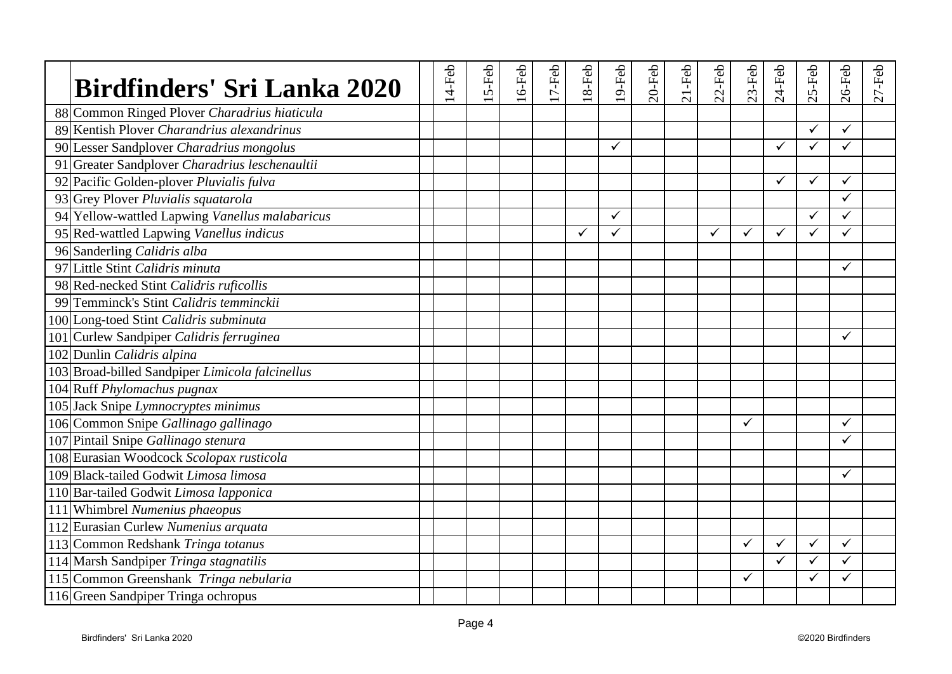| <b>Birdfinders' Sri Lanka 2020</b>              | $14$ -Feb | 5-Feb | $16$ -Feb | $17-Feb$ | $18-Feb$     | 19-Feb       | $20$ -Feb | $21-Feb$ | $22$ -Feb | $23$ -Feb    | $24-Feb$     | $25$ -Feb | $26$ -Feb    | $27 - Feb$ |
|-------------------------------------------------|-----------|-------|-----------|----------|--------------|--------------|-----------|----------|-----------|--------------|--------------|-----------|--------------|------------|
| 88 Common Ringed Plover Charadrius hiaticula    |           |       |           |          |              |              |           |          |           |              |              |           |              |            |
| 89 Kentish Plover Charandrius alexandrinus      |           |       |           |          |              |              |           |          |           |              |              | ✓         | $\checkmark$ |            |
| 90 Lesser Sandplover Charadrius mongolus        |           |       |           |          |              | $\checkmark$ |           |          |           |              | $\checkmark$ | ✓         | $\checkmark$ |            |
| 91 Greater Sandplover Charadrius leschenaultii  |           |       |           |          |              |              |           |          |           |              |              |           |              |            |
| 92 Pacific Golden-plover Pluvialis fulva        |           |       |           |          |              |              |           |          |           |              | $\checkmark$ | ✓         | $\checkmark$ |            |
| 93 Grey Plover Pluvialis squatarola             |           |       |           |          |              |              |           |          |           |              |              |           | ✓            |            |
| 94 Yellow-wattled Lapwing Vanellus malabaricus  |           |       |           |          |              | $\checkmark$ |           |          |           |              |              | ✓         | $\checkmark$ |            |
| 95 Red-wattled Lapwing Vanellus indicus         |           |       |           |          | $\checkmark$ | $\checkmark$ |           |          | ✓         | ✓            | $\checkmark$ | ✓         | $\checkmark$ |            |
| 96 Sanderling Calidris alba                     |           |       |           |          |              |              |           |          |           |              |              |           |              |            |
| 97 Little Stint Calidris minuta                 |           |       |           |          |              |              |           |          |           |              |              |           | $\checkmark$ |            |
| 98 Red-necked Stint Calidris ruficollis         |           |       |           |          |              |              |           |          |           |              |              |           |              |            |
| 99 Temminck's Stint Calidris temminckii         |           |       |           |          |              |              |           |          |           |              |              |           |              |            |
| 100 Long-toed Stint Calidris subminuta          |           |       |           |          |              |              |           |          |           |              |              |           |              |            |
| 101 Curlew Sandpiper Calidris ferruginea        |           |       |           |          |              |              |           |          |           |              |              |           | $\checkmark$ |            |
| 102 Dunlin Calidris alpina                      |           |       |           |          |              |              |           |          |           |              |              |           |              |            |
| 103 Broad-billed Sandpiper Limicola falcinellus |           |       |           |          |              |              |           |          |           |              |              |           |              |            |
| 104 Ruff Phylomachus pugnax                     |           |       |           |          |              |              |           |          |           |              |              |           |              |            |
| 105 Jack Snipe Lymnocryptes minimus             |           |       |           |          |              |              |           |          |           |              |              |           |              |            |
| 106 Common Snipe Gallinago gallinago            |           |       |           |          |              |              |           |          |           | $\checkmark$ |              |           | $\checkmark$ |            |
| 107 Pintail Snipe Gallinago stenura             |           |       |           |          |              |              |           |          |           |              |              |           | ✓            |            |
| 108 Eurasian Woodcock Scolopax rusticola        |           |       |           |          |              |              |           |          |           |              |              |           |              |            |
| 109 Black-tailed Godwit Limosa limosa           |           |       |           |          |              |              |           |          |           |              |              |           | $\checkmark$ |            |
| 110 Bar-tailed Godwit Limosa lapponica          |           |       |           |          |              |              |           |          |           |              |              |           |              |            |
| 111 Whimbrel Numenius phaeopus                  |           |       |           |          |              |              |           |          |           |              |              |           |              |            |
| 112 Eurasian Curlew Numenius arquata            |           |       |           |          |              |              |           |          |           |              |              |           |              |            |
| 113 Common Redshank Tringa totanus              |           |       |           |          |              |              |           |          |           | ✓            | $\checkmark$ | ✓         | $\checkmark$ |            |
| 114 Marsh Sandpiper Tringa stagnatilis          |           |       |           |          |              |              |           |          |           |              | ✓            |           | $\checkmark$ |            |
| 115 Common Greenshank Tringa nebularia          |           |       |           |          |              |              |           |          |           | $\checkmark$ |              | ✓         | ✓            |            |
| 116 Green Sandpiper Tringa ochropus             |           |       |           |          |              |              |           |          |           |              |              |           |              |            |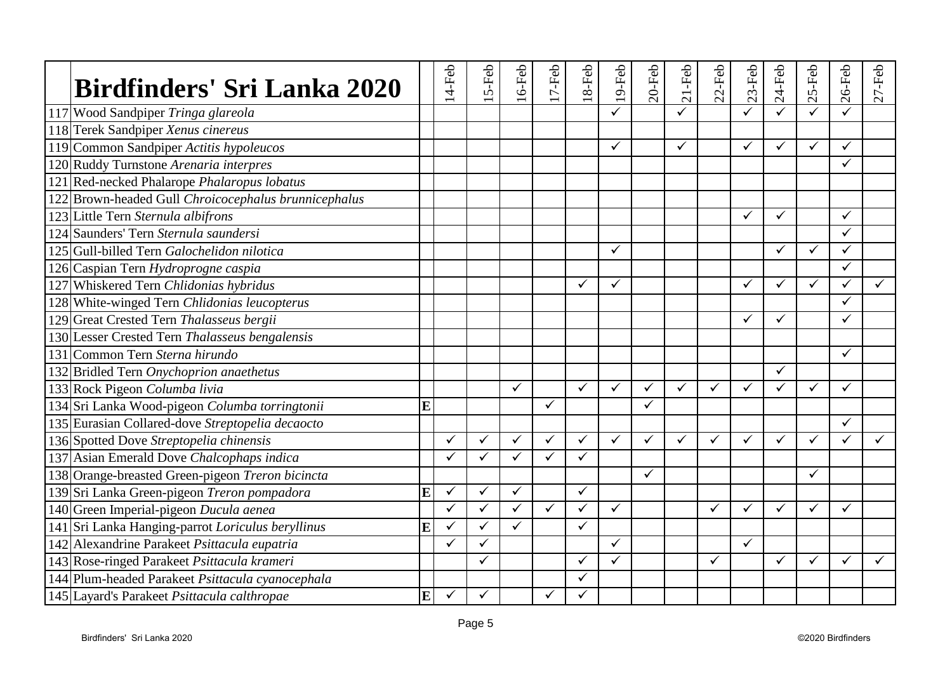| <b>Birdfinders' Sri Lanka 2020</b>                   |   | 14-Feb       | 5-Feb        | $16$ -Feb    | $17-Feb$     | $18-Feb$     | $19$ -Feb    | $20$ -Feb | $21-Feb$     | $22-Feb$ | $23-Feb$     | $24-Feb$     | $25$ -Feb    | $26$ -Feb    | $27 - Feb$ |
|------------------------------------------------------|---|--------------|--------------|--------------|--------------|--------------|--------------|-----------|--------------|----------|--------------|--------------|--------------|--------------|------------|
| 117 Wood Sandpiper Tringa glareola                   |   |              |              |              |              |              | ✓            |           | ✓            |          | ✓            |              |              |              |            |
| 118 Terek Sandpiper Xenus cinereus                   |   |              |              |              |              |              |              |           |              |          |              |              |              |              |            |
| 119 Common Sandpiper Actitis hypoleucos              |   |              |              |              |              |              | $\checkmark$ |           | ✓            |          | $\checkmark$ | ✓            | ✓            | ✓            |            |
| 120 Ruddy Turnstone Arenaria interpres               |   |              |              |              |              |              |              |           |              |          |              |              |              | $\checkmark$ |            |
| 121 Red-necked Phalarope Phalaropus lobatus          |   |              |              |              |              |              |              |           |              |          |              |              |              |              |            |
| 122 Brown-headed Gull Chroicocephalus brunnicephalus |   |              |              |              |              |              |              |           |              |          |              |              |              |              |            |
| 123 Little Tern Sternula albifrons                   |   |              |              |              |              |              |              |           |              |          | $\checkmark$ | ✓            |              | $\checkmark$ |            |
| 124 Saunders' Tern Sternula saundersi                |   |              |              |              |              |              |              |           |              |          |              |              |              | $\checkmark$ |            |
| 125 Gull-billed Tern Galochelidon nilotica           |   |              |              |              |              |              | ✓            |           |              |          |              | ✓            | ✓            | ✓            |            |
| 126 Caspian Tern Hydroprogne caspia                  |   |              |              |              |              |              |              |           |              |          |              |              |              | $\checkmark$ |            |
| 127 Whiskered Tern Chlidonias hybridus               |   |              |              |              |              | ✓            | $\checkmark$ |           |              |          | ✓            | $\checkmark$ | $\checkmark$ | $\checkmark$ | ✓          |
| 128 White-winged Tern Chlidonias leucopterus         |   |              |              |              |              |              |              |           |              |          |              |              |              | ✓            |            |
| 129 Great Crested Tern Thalasseus bergii             |   |              |              |              |              |              |              |           |              |          | $\checkmark$ | ✓            |              | $\checkmark$ |            |
| 130 Lesser Crested Tern Thalasseus bengalensis       |   |              |              |              |              |              |              |           |              |          |              |              |              |              |            |
| 131 Common Tern Sterna hirundo                       |   |              |              |              |              |              |              |           |              |          |              |              |              | $\checkmark$ |            |
| 132 Bridled Tern Onychoprion anaethetus              |   |              |              |              |              |              |              |           |              |          |              | ✓            |              |              |            |
| 133 Rock Pigeon Columba livia                        |   |              |              | ✓            |              | $\checkmark$ | $\checkmark$ | ✓         | $\checkmark$ | ✓        | $\checkmark$ | ✓            | ✓            | ✓            |            |
| 134 Sri Lanka Wood-pigeon Columba torringtonii       | E |              |              |              | $\checkmark$ |              |              | ✓         |              |          |              |              |              |              |            |
| 135 Eurasian Collared-dove Streptopelia decaocto     |   |              |              |              |              |              |              |           |              |          |              |              |              | $\checkmark$ |            |
| 136 Spotted Dove Streptopelia chinensis              |   | ✓            | ✓            | ✓            | $\checkmark$ | ✓            | $\checkmark$ | ✓         |              | ✓        | ✓            | ✓            | ✓            | ✓            |            |
| 137 Asian Emerald Dove Chalcophaps indica            |   | $\checkmark$ | $\checkmark$ | $\checkmark$ | $\checkmark$ | $\checkmark$ |              |           |              |          |              |              |              |              |            |
| 138 Orange-breasted Green-pigeon Treron bicincta     |   |              |              |              |              |              |              | ✓         |              |          |              |              | ✓            |              |            |
| 139 Sri Lanka Green-pigeon Treron pompadora          | E | $\checkmark$ | $\checkmark$ | ✓            |              | $\checkmark$ |              |           |              |          |              |              |              |              |            |
| 140 Green Imperial-pigeon Ducula aenea               |   | ✓            | $\checkmark$ | ✓            | $\checkmark$ | $\checkmark$ | $\checkmark$ |           |              | ✓        | $\checkmark$ | ✓            | ✓            | ✓            |            |
| 141 Sri Lanka Hanging-parrot Loriculus beryllinus    | E | $\checkmark$ | ✓            | $\checkmark$ |              | $\checkmark$ |              |           |              |          |              |              |              |              |            |
| 142 Alexandrine Parakeet Psittacula eupatria         |   | ✓            | $\checkmark$ |              |              |              | $\checkmark$ |           |              |          | $\checkmark$ |              |              |              |            |
| 143 Rose-ringed Parakeet Psittacula krameri          |   |              | ✓            |              |              | ✓            | $\checkmark$ |           |              | ✓        |              | ✓            | ✓            | ✓            | ✓          |
| 144 Plum-headed Parakeet Psittacula cyanocephala     |   |              |              |              |              | ✓            |              |           |              |          |              |              |              |              |            |
| 145 Layard's Parakeet Psittacula calthropae          | E | $\checkmark$ | $\checkmark$ |              | ✓            | ✓            |              |           |              |          |              |              |              |              |            |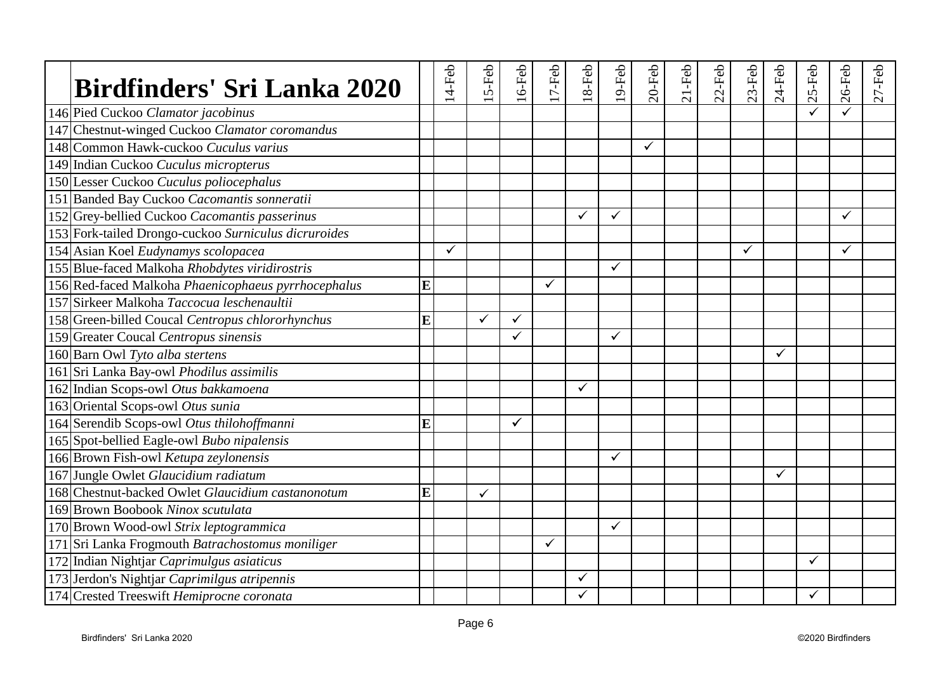| <b>Birdfinders' Sri Lanka 2020</b>                   |   | $14$ -Feb    | 5-Feb        | $16$ -Feb | $17-Feb$ | $18-Feb$ | 19-Feb       | $20$ -Feb | $21-Feb$ | $22$ -Feb | $23$ -Feb    | $24-Feb$     | $25-Feb$ | $26$ -Feb    | $27$ -Feb |
|------------------------------------------------------|---|--------------|--------------|-----------|----------|----------|--------------|-----------|----------|-----------|--------------|--------------|----------|--------------|-----------|
| 146 Pied Cuckoo Clamator jacobinus                   |   |              |              |           |          |          |              |           |          |           |              |              |          |              |           |
| 147 Chestnut-winged Cuckoo Clamator coromandus       |   |              |              |           |          |          |              |           |          |           |              |              |          |              |           |
| 148 Common Hawk-cuckoo <i>Cuculus varius</i>         |   |              |              |           |          |          |              | ✓         |          |           |              |              |          |              |           |
| 149 Indian Cuckoo Cuculus micropterus                |   |              |              |           |          |          |              |           |          |           |              |              |          |              |           |
| 150 Lesser Cuckoo Cuculus poliocephalus              |   |              |              |           |          |          |              |           |          |           |              |              |          |              |           |
| 151 Banded Bay Cuckoo Cacomantis sonneratii          |   |              |              |           |          |          |              |           |          |           |              |              |          |              |           |
| 152 Grey-bellied Cuckoo Cacomantis passerinus        |   |              |              |           |          | ✓        | $\checkmark$ |           |          |           |              |              |          | $\checkmark$ |           |
| 153 Fork-tailed Drongo-cuckoo Surniculus dicruroides |   |              |              |           |          |          |              |           |          |           |              |              |          |              |           |
| 154 Asian Koel Eudynamys scolopacea                  |   | $\checkmark$ |              |           |          |          |              |           |          |           | $\checkmark$ |              |          | $\checkmark$ |           |
| 155 Blue-faced Malkoha Rhobdytes viridirostris       |   |              |              |           |          |          | $\checkmark$ |           |          |           |              |              |          |              |           |
| 156 Red-faced Malkoha Phaenicophaeus pyrrhocephalus  | E |              |              |           | ✓        |          |              |           |          |           |              |              |          |              |           |
| 157 Sirkeer Malkoha Taccocua leschenaultii           |   |              |              |           |          |          |              |           |          |           |              |              |          |              |           |
| 158 Green-billed Coucal Centropus chlororhynchus     | E |              | $\checkmark$ | ✓         |          |          |              |           |          |           |              |              |          |              |           |
| 159 Greater Coucal Centropus sinensis                |   |              |              | ✓         |          |          | $\checkmark$ |           |          |           |              |              |          |              |           |
| 160 Barn Owl Tyto alba stertens                      |   |              |              |           |          |          |              |           |          |           |              | $\checkmark$ |          |              |           |
| 161 Sri Lanka Bay-owl Phodilus assimilis             |   |              |              |           |          |          |              |           |          |           |              |              |          |              |           |
| 162 Indian Scops-owl Otus bakkamoena                 |   |              |              |           |          | ✓        |              |           |          |           |              |              |          |              |           |
| 163 Oriental Scops-owl Otus sunia                    |   |              |              |           |          |          |              |           |          |           |              |              |          |              |           |
| 164 Serendib Scops-owl Otus thilohoffmanni           | E |              |              | ✓         |          |          |              |           |          |           |              |              |          |              |           |
| 165 Spot-bellied Eagle-owl Bubo nipalensis           |   |              |              |           |          |          |              |           |          |           |              |              |          |              |           |
| 166 Brown Fish-owl Ketupa zeylonensis                |   |              |              |           |          |          | $\checkmark$ |           |          |           |              |              |          |              |           |
| 167 Jungle Owlet Glaucidium radiatum                 |   |              |              |           |          |          |              |           |          |           |              | $\checkmark$ |          |              |           |
| 168 Chestnut-backed Owlet Glaucidium castanonotum    | E |              | ✓            |           |          |          |              |           |          |           |              |              |          |              |           |
| 169 Brown Boobook Ninox scutulata                    |   |              |              |           |          |          |              |           |          |           |              |              |          |              |           |
| 170 Brown Wood-owl Strix leptogrammica               |   |              |              |           |          |          | $\checkmark$ |           |          |           |              |              |          |              |           |
| 171 Sri Lanka Frogmouth Batrachostomus moniliger     |   |              |              |           | ✓        |          |              |           |          |           |              |              |          |              |           |
| 172 Indian Nightjar Caprimulgus asiaticus            |   |              |              |           |          |          |              |           |          |           |              |              | ✓        |              |           |
| 173 Jerdon's Nightjar Caprimilgus atripennis         |   |              |              |           |          | ✓        |              |           |          |           |              |              |          |              |           |
| 174 Crested Treeswift Hemiprocne coronata            |   |              |              |           |          |          |              |           |          |           |              |              | ✓        |              |           |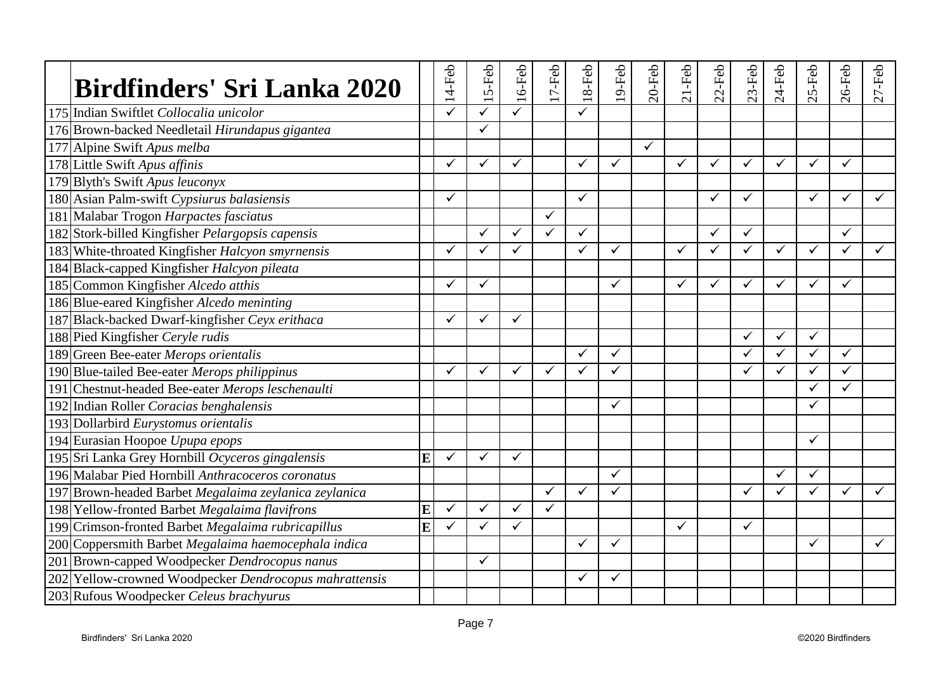| <b>Birdfinders' Sri Lanka 2020</b>                     |                         | $14-Feb$     | 5-Feb        | $16$ -Feb    | $17-Feb$     | $18-Feb$     | $19$ -Feb    | $20$ -Feb | $21-Feb$     | $2-Feb$ | $23-Feb$     | 24-Feb       | 5-Feb        | $26$ -Feb    | $27 - Feb$ |
|--------------------------------------------------------|-------------------------|--------------|--------------|--------------|--------------|--------------|--------------|-----------|--------------|---------|--------------|--------------|--------------|--------------|------------|
| 175 Indian Swiftlet Collocalia unicolor                |                         |              |              |              |              | ✓            |              |           |              |         |              |              |              |              |            |
| 176 Brown-backed Needletail Hirundapus gigantea        |                         |              | $\checkmark$ |              |              |              |              |           |              |         |              |              |              |              |            |
| 177 Alpine Swift Apus melba                            |                         |              |              |              |              |              |              | ✓         |              |         |              |              |              |              |            |
| 178 Little Swift Apus affinis                          |                         | $\checkmark$ | $\checkmark$ | ✓            |              | ✓            | $\checkmark$ |           | $\checkmark$ | ✓       | ✓            | $\checkmark$ | $\checkmark$ | $\checkmark$ |            |
| 179 Blyth's Swift Apus leuconyx                        |                         |              |              |              |              |              |              |           |              |         |              |              |              |              |            |
| 180 Asian Palm-swift Cypsiurus balasiensis             |                         | ✓            |              |              |              | $\checkmark$ |              |           |              | ✓       | ✓            |              | $\checkmark$ | ✓            | ✓          |
| 181 Malabar Trogon Harpactes fasciatus                 |                         |              |              |              | $\checkmark$ |              |              |           |              |         |              |              |              |              |            |
| 182 Stork-billed Kingfisher Pelargopsis capensis       |                         |              | ✓            | $\checkmark$ | $\checkmark$ | ✓            |              |           |              | ✓       | $\checkmark$ |              |              | ✓            |            |
| 183 White-throated Kingfisher Halcyon smyrnensis       |                         | ✓            | ✓            | ✓            |              | ✓            | ✓            |           | $\checkmark$ | ✓       | ✓            | ✓            | $\checkmark$ | ✓            | ✓          |
| 184 Black-capped Kingfisher Halcyon pileata            |                         |              |              |              |              |              |              |           |              |         |              |              |              |              |            |
| 185 Common Kingfisher Alcedo atthis                    |                         | ✓            | $\checkmark$ |              |              |              | $\checkmark$ |           | ✓            | ✓       | ✓            | $\checkmark$ | $\checkmark$ | ✓            |            |
| 186 Blue-eared Kingfisher Alcedo meninting             |                         |              |              |              |              |              |              |           |              |         |              |              |              |              |            |
| 187 Black-backed Dwarf-kingfisher Ceyx erithaca        |                         | $\checkmark$ | ✓            | ✓            |              |              |              |           |              |         |              |              |              |              |            |
| 188 Pied Kingfisher Ceryle rudis                       |                         |              |              |              |              |              |              |           |              |         | ✓            | ✓            | $\checkmark$ |              |            |
| 189 Green Bee-eater Merops orientalis                  |                         |              |              |              |              | ✓            | ✓            |           |              |         | ✓            | ✓            | ✓            | ✓            |            |
| 190 Blue-tailed Bee-eater Merops philippinus           |                         |              | ✓            | ✓            | $\checkmark$ | $\checkmark$ | ✓            |           |              |         |              | ✓            |              | ✓            |            |
| 191 Chestnut-headed Bee-eater Merops leschenaulti      |                         |              |              |              |              |              |              |           |              |         |              |              |              | ✓            |            |
| 192 Indian Roller Coracias benghalensis                |                         |              |              |              |              |              | $\checkmark$ |           |              |         |              |              | ✓            |              |            |
| 193 Dollarbird Eurystomus orientalis                   |                         |              |              |              |              |              |              |           |              |         |              |              |              |              |            |
| 194 Eurasian Hoopoe Upupa epops                        |                         |              |              |              |              |              |              |           |              |         |              |              | $\checkmark$ |              |            |
| 195 Sri Lanka Grey Hornbill Ocyceros gingalensis       | E                       | $\checkmark$ | $\checkmark$ | ✓            |              |              |              |           |              |         |              |              |              |              |            |
| 196 Malabar Pied Hornbill Anthracoceros coronatus      |                         |              |              |              |              |              | ✓            |           |              |         |              | ✓            | $\checkmark$ |              |            |
| 197 Brown-headed Barbet Megalaima zeylanica zeylanica  |                         |              |              |              | ✓            | ✓            | ✓            |           |              |         | ✓            | ✓            | ✓            | ✓            | ✓          |
| 198 Yellow-fronted Barbet Megalaima flavifrons         | E                       | $\checkmark$ | $\checkmark$ | ✓            | $\checkmark$ |              |              |           |              |         |              |              |              |              |            |
| 199 Crimson-fronted Barbet Megalaima rubricapillus     | $\overline{\mathbf{E}}$ | ✓            | ✓            | $\checkmark$ |              |              |              |           | $\checkmark$ |         | ✓            |              |              |              |            |
| 200 Coppersmith Barbet Megalaima haemocephala indica   |                         |              |              |              |              | ✓            | ✓            |           |              |         |              |              | ✓            |              | ✓          |
| 201 Brown-capped Woodpecker Dendrocopus nanus          |                         |              | $\checkmark$ |              |              |              |              |           |              |         |              |              |              |              |            |
| 202 Yellow-crowned Woodpecker Dendrocopus mahrattensis |                         |              |              |              |              | ✓            | ✓            |           |              |         |              |              |              |              |            |
| 203 Rufous Woodpecker Celeus brachyurus                |                         |              |              |              |              |              |              |           |              |         |              |              |              |              |            |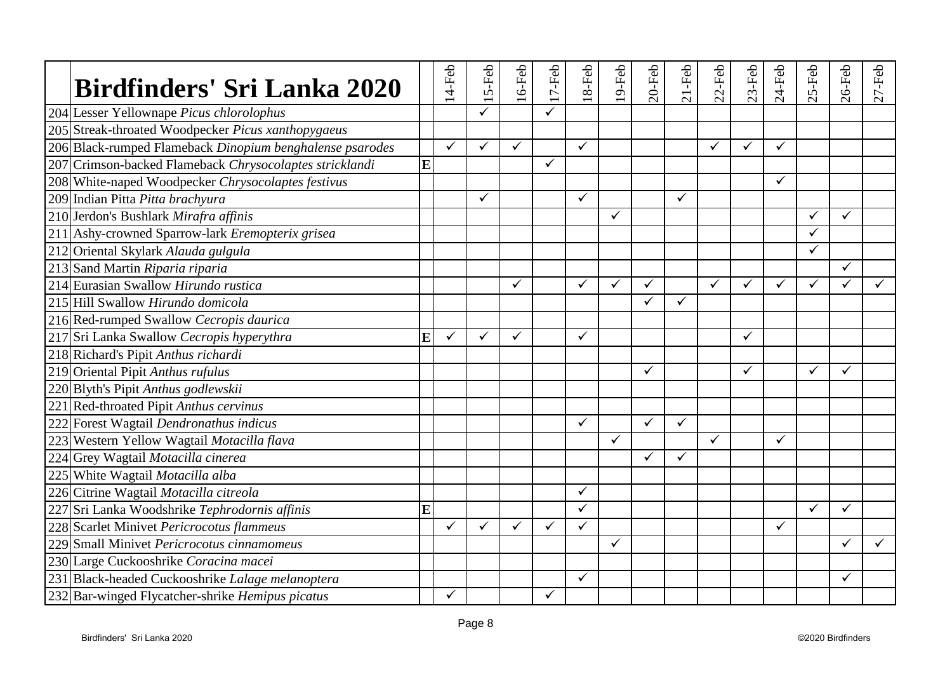| <b>Birdfinders' Sri Lanka 2020</b>                       |   | 14-Feb       | 5-Feb | $16$ -Feb    | $17-Feb$     | $18-Feb$     | $19-Feb$     | $20$ -Feb    | $21$ -Feb    | $2-Feb$      | $23-Feb$     | $24-Feb$     | S-Feb        | $26$ -Feb | $27$ -Feb |
|----------------------------------------------------------|---|--------------|-------|--------------|--------------|--------------|--------------|--------------|--------------|--------------|--------------|--------------|--------------|-----------|-----------|
| 204 Lesser Yellownape Picus chlorolophus                 |   |              |       |              |              |              |              |              |              |              |              |              |              |           |           |
| 205 Streak-throated Woodpecker Picus xanthopygaeus       |   |              |       |              |              |              |              |              |              |              |              |              |              |           |           |
| 206 Black-rumped Flameback Dinopium benghalense psarodes |   | $\checkmark$ | ✓     | $\checkmark$ |              | $\checkmark$ |              |              |              | $\checkmark$ | ✓            | ✓            |              |           |           |
| 207 Crimson-backed Flameback Chrysocolaptes stricklandi  | E |              |       |              | $\checkmark$ |              |              |              |              |              |              |              |              |           |           |
| 208 White-naped Woodpecker Chrysocolaptes festivus       |   |              |       |              |              |              |              |              |              |              |              | $\checkmark$ |              |           |           |
| 209 Indian Pitta Pitta brachyura                         |   |              | ✓     |              |              | ✓            |              |              | $\checkmark$ |              |              |              |              |           |           |
| 210 Jerdon's Bushlark Mirafra affinis                    |   |              |       |              |              |              | $\checkmark$ |              |              |              |              |              | ✓            | ✓         |           |
| 211 Ashy-crowned Sparrow-lark Eremopterix grisea         |   |              |       |              |              |              |              |              |              |              |              |              | $\checkmark$ |           |           |
| 212 Oriental Skylark Alauda gulgula                      |   |              |       |              |              |              |              |              |              |              |              |              | $\checkmark$ |           |           |
| 213 Sand Martin Riparia riparia                          |   |              |       |              |              |              |              |              |              |              |              |              |              | ✓         |           |
| 214 Eurasian Swallow Hirundo rustica                     |   |              |       | ✓            |              | ✓            | $\checkmark$ | $\checkmark$ |              | $\checkmark$ | ✓            | $\checkmark$ | $\checkmark$ | ✓         |           |
| 215 Hill Swallow Hirundo domicola                        |   |              |       |              |              |              |              | ✓            | ✓            |              |              |              |              |           |           |
| 216 Red-rumped Swallow Cecropis daurica                  |   |              |       |              |              |              |              |              |              |              |              |              |              |           |           |
| 217 Sri Lanka Swallow Cecropis hyperythra                | E | $\checkmark$ | ✓     | $\checkmark$ |              | ✓            |              |              |              |              | ✓            |              |              |           |           |
| 218 Richard's Pipit Anthus richardi                      |   |              |       |              |              |              |              |              |              |              |              |              |              |           |           |
| 219 Oriental Pipit Anthus rufulus                        |   |              |       |              |              |              |              | ✓            |              |              | $\checkmark$ |              | $\checkmark$ | ✓         |           |
| 220 Blyth's Pipit Anthus godlewskii                      |   |              |       |              |              |              |              |              |              |              |              |              |              |           |           |
| 221 Red-throated Pipit Anthus cervinus                   |   |              |       |              |              |              |              |              |              |              |              |              |              |           |           |
| 222 Forest Wagtail Dendronathus indicus                  |   |              |       |              |              | $\checkmark$ |              | $\checkmark$ | $\checkmark$ |              |              |              |              |           |           |
| 223 Western Yellow Wagtail Motacilla flava               |   |              |       |              |              |              | $\checkmark$ |              |              | $\checkmark$ |              | ✓            |              |           |           |
| 224 Grey Wagtail Motacilla cinerea                       |   |              |       |              |              |              |              | ✓            | $\checkmark$ |              |              |              |              |           |           |
| 225 White Wagtail Motacilla alba                         |   |              |       |              |              |              |              |              |              |              |              |              |              |           |           |
| 226 Citrine Wagtail Motacilla citreola                   |   |              |       |              |              | ✓            |              |              |              |              |              |              |              |           |           |
| 227 Sri Lanka Woodshrike Tephrodornis affinis            | E |              |       |              |              | $\checkmark$ |              |              |              |              |              |              | $\checkmark$ | ✓         |           |
| 228 Scarlet Minivet Pericrocotus flammeus                |   | $\checkmark$ | ✓     | $\checkmark$ | ✓            | $\checkmark$ |              |              |              |              |              | $\checkmark$ |              |           |           |
| 229 Small Minivet Pericrocotus cinnamomeus               |   |              |       |              |              |              | $\checkmark$ |              |              |              |              |              |              | ✓         |           |
| 230 Large Cuckooshrike Coracina macei                    |   |              |       |              |              |              |              |              |              |              |              |              |              |           |           |
| 231 Black-headed Cuckooshrike Lalage melanoptera         |   |              |       |              |              | ✓            |              |              |              |              |              |              |              | ✓         |           |
| 232 Bar-winged Flycatcher-shrike Hemipus picatus         |   | $\checkmark$ |       |              | $\checkmark$ |              |              |              |              |              |              |              |              |           |           |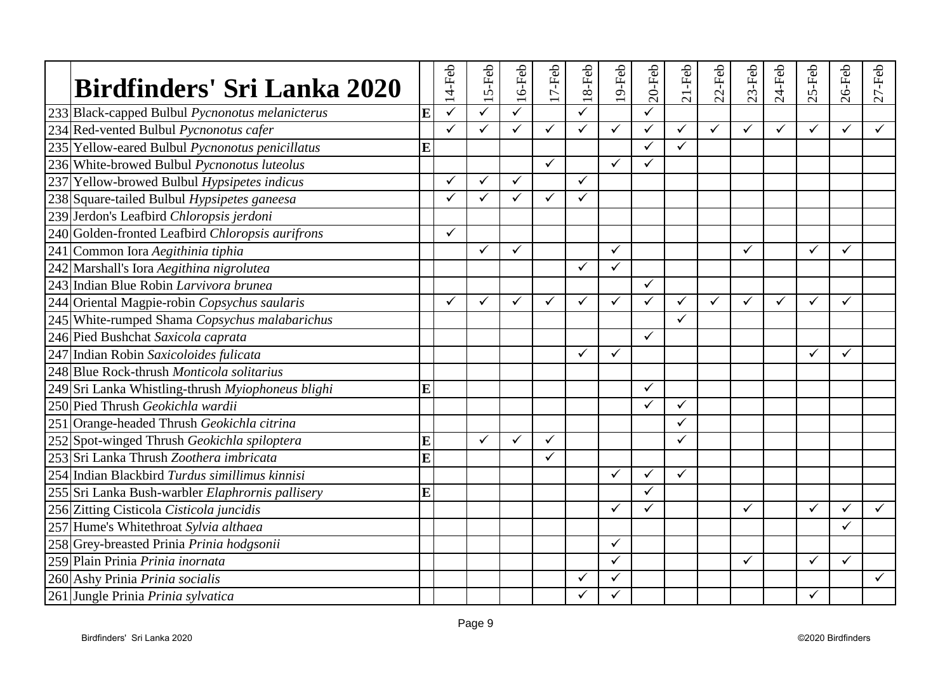| Birdfinders' Sri Lanka 2020                       |   | 14-Feb       | 5-Feb        | $16$ -Feb | $17-Feb$     | $18-Feb$     | $19-Feb$     | $20$ -Feb    | $21-Feb$     | $22$ -Feb    | $23-Feb$     | $24-Feb$ | 5-Feb<br>$\mathbf{C}$ | $26$ -Feb    | $27-Feb$     |
|---------------------------------------------------|---|--------------|--------------|-----------|--------------|--------------|--------------|--------------|--------------|--------------|--------------|----------|-----------------------|--------------|--------------|
| 233 Black-capped Bulbul Pycnonotus melanicterus   | E | $\checkmark$ | ✓            | ✓         |              | ✓            |              | ✓            |              |              |              |          |                       |              |              |
| 234 Red-vented Bulbul Pycnonotus cafer            |   | ✓            | $\checkmark$ |           | $\checkmark$ | $\checkmark$ | $\checkmark$ | ✓            | $\checkmark$ | $\checkmark$ | ✓            | ✓        | $\checkmark$          | $\checkmark$ | $\checkmark$ |
| 235 Yellow-eared Bulbul Pycnonotus penicillatus   | E |              |              |           |              |              |              | ✓            | $\checkmark$ |              |              |          |                       |              |              |
| 236 White-browed Bulbul Pycnonotus luteolus       |   |              |              |           | $\checkmark$ |              | ✓            | $\checkmark$ |              |              |              |          |                       |              |              |
| 237 Yellow-browed Bulbul Hypsipetes indicus       |   | ✓            | ✓            | ✓         |              | $\checkmark$ |              |              |              |              |              |          |                       |              |              |
| 238 Square-tailed Bulbul Hypsipetes ganeesa       |   | ✓            | ✓            | ✓         | $\checkmark$ | $\checkmark$ |              |              |              |              |              |          |                       |              |              |
| 239 Jerdon's Leafbird Chloropsis jerdoni          |   |              |              |           |              |              |              |              |              |              |              |          |                       |              |              |
| 240 Golden-fronted Leafbird Chloropsis aurifrons  |   | $\checkmark$ |              |           |              |              |              |              |              |              |              |          |                       |              |              |
| 241 Common Iora Aegithinia tiphia                 |   |              | ✓            | ✓         |              |              | $\checkmark$ |              |              |              | ✓            |          | ✓                     | ✓            |              |
| 242 Marshall's Iora Aegithina nigrolutea          |   |              |              |           |              | ✓            | ✓            |              |              |              |              |          |                       |              |              |
| 243 Indian Blue Robin Larvivora brunea            |   |              |              |           |              |              |              | ✓            |              |              |              |          |                       |              |              |
| 244 Oriental Magpie-robin Copsychus saularis      |   |              | ✓            | ✓         | ✓            | ✓            | ✓            | $\checkmark$ | ✓            | ✓            | $\checkmark$ | ✓        | ✓                     | ✓            |              |
| 245 White-rumped Shama Copsychus malabarichus     |   |              |              |           |              |              |              |              | $\checkmark$ |              |              |          |                       |              |              |
| 246 Pied Bushchat Saxicola caprata                |   |              |              |           |              |              |              | $\checkmark$ |              |              |              |          |                       |              |              |
| 247 Indian Robin Saxicoloides fulicata            |   |              |              |           |              | ✓            | ✓            |              |              |              |              |          | $\checkmark$          | ✓            |              |
| 248 Blue Rock-thrush Monticola solitarius         |   |              |              |           |              |              |              |              |              |              |              |          |                       |              |              |
| 249 Sri Lanka Whistling-thrush Myiophoneus blighi | Ē |              |              |           |              |              |              | ✓            |              |              |              |          |                       |              |              |
| 250 Pied Thrush Geokichla wardii                  |   |              |              |           |              |              |              | ✓            | $\checkmark$ |              |              |          |                       |              |              |
| 251 Orange-headed Thrush Geokichla citrina        |   |              |              |           |              |              |              |              |              |              |              |          |                       |              |              |
| 252 Spot-winged Thrush Geokichla spiloptera       | E |              | $\checkmark$ | ✓         | $\checkmark$ |              |              |              | ✓            |              |              |          |                       |              |              |
| 253 Sri Lanka Thrush Zoothera imbricata           | E |              |              |           | ✓            |              |              |              |              |              |              |          |                       |              |              |
| 254 Indian Blackbird Turdus simillimus kinnisi    |   |              |              |           |              |              | ✓            | ✓            | $\checkmark$ |              |              |          |                       |              |              |
| 255 Sri Lanka Bush-warbler Elaphrornis pallisery  | E |              |              |           |              |              |              | ✓            |              |              |              |          |                       |              |              |
| 256 Zitting Cisticola Cisticola juncidis          |   |              |              |           |              |              | ✓            | ✓            |              |              | $\checkmark$ |          | $\checkmark$          | ✓            | $\checkmark$ |
| 257 Hume's Whitethroat Sylvia althaea             |   |              |              |           |              |              |              |              |              |              |              |          |                       | ✓            |              |
| 258 Grey-breasted Prinia Prinia hodgsonii         |   |              |              |           |              |              | $\checkmark$ |              |              |              |              |          |                       |              |              |
| 259 Plain Prinia Prinia inornata                  |   |              |              |           |              |              | ✓            |              |              |              | $\checkmark$ |          | ✓                     | ✓            |              |
| 260 Ashy Prinia Prinia socialis                   |   |              |              |           |              | ✓            | ✓            |              |              |              |              |          |                       |              |              |
| 261 Jungle Prinia Prinia sylvatica                |   |              |              |           |              |              | ✓            |              |              |              |              |          |                       |              |              |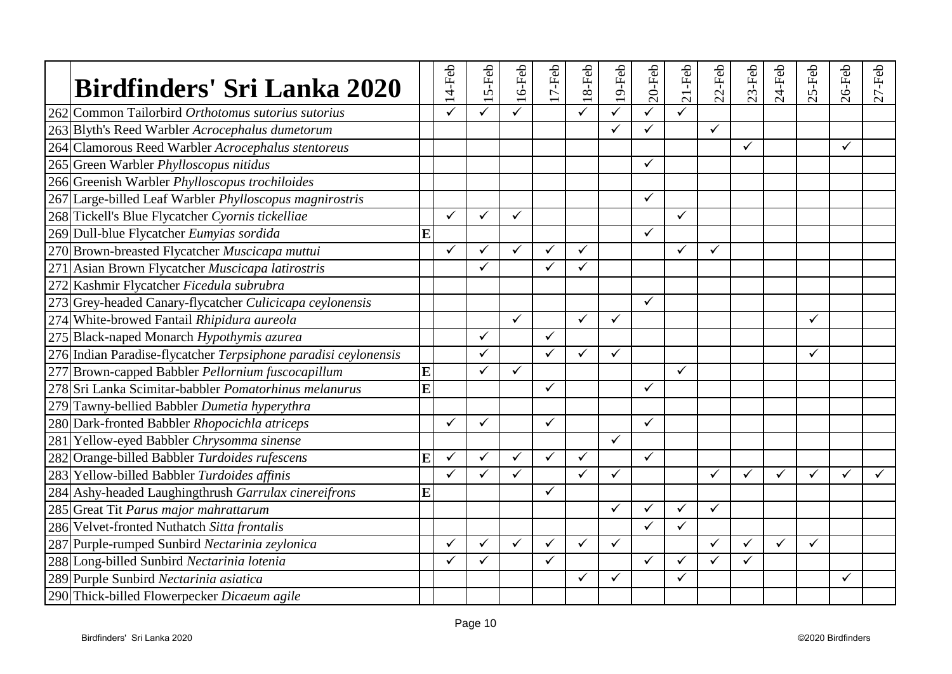| <b>Birdfinders' Sri Lanka 2020</b>                              |   | $14-Feb$     | 5-Feb        | $16$ -Feb | $17-Feb$     | $18-Feb$     | $19$ -Feb    | $20$ -Feb    | $21-Feb$     | $22$ -Feb    | $23-Feb$     | 24-Feb       | S-Feb<br>$\sim$ | $26$ -Feb | $27 - Feb$ |
|-----------------------------------------------------------------|---|--------------|--------------|-----------|--------------|--------------|--------------|--------------|--------------|--------------|--------------|--------------|-----------------|-----------|------------|
| 262 Common Tailorbird Orthotomus sutorius sutorius              |   |              |              |           |              | ✓            | ✓            | ✓            |              |              |              |              |                 |           |            |
| 263 Blyth's Reed Warbler Acrocephalus dumetorum                 |   |              |              |           |              |              | $\checkmark$ |              |              | $\checkmark$ |              |              |                 |           |            |
| 264 Clamorous Reed Warbler Acrocephalus stentoreus              |   |              |              |           |              |              |              |              |              |              | ✓            |              |                 | ✓         |            |
| 265 Green Warbler Phylloscopus nitidus                          |   |              |              |           |              |              |              | ✓            |              |              |              |              |                 |           |            |
| 266 Greenish Warbler Phylloscopus trochiloides                  |   |              |              |           |              |              |              |              |              |              |              |              |                 |           |            |
| 267 Large-billed Leaf Warbler Phylloscopus magnirostris         |   |              |              |           |              |              |              | $\checkmark$ |              |              |              |              |                 |           |            |
| 268 Tickell's Blue Flycatcher Cyornis tickelliae                |   | $\checkmark$ | $\checkmark$ | ✓         |              |              |              |              | $\checkmark$ |              |              |              |                 |           |            |
| 269 Dull-blue Flycatcher Eumyias sordida                        | E |              |              |           |              |              |              | $\checkmark$ |              |              |              |              |                 |           |            |
| 270 Brown-breasted Flycatcher Muscicapa muttui                  |   | $\checkmark$ | ✓            | ✓         | $\checkmark$ | ✓            |              |              | $\checkmark$ | ✓            |              |              |                 |           |            |
| 271 Asian Brown Flycatcher Muscicapa latirostris                |   |              | $\checkmark$ |           | ✓            | ✓            |              |              |              |              |              |              |                 |           |            |
| 272 Kashmir Flycatcher Ficedula subrubra                        |   |              |              |           |              |              |              |              |              |              |              |              |                 |           |            |
| 273 Grey-headed Canary-flycatcher Culicicapa ceylonensis        |   |              |              |           |              |              |              | $\checkmark$ |              |              |              |              |                 |           |            |
| 274 White-browed Fantail Rhipidura aureola                      |   |              |              | ✓         |              | $\checkmark$ | $\checkmark$ |              |              |              |              |              | $\checkmark$    |           |            |
| 275 Black-naped Monarch Hypothymis azurea                       |   |              | ✓            |           | $\checkmark$ |              |              |              |              |              |              |              |                 |           |            |
| 276 Indian Paradise-flycatcher Terpsiphone paradisi ceylonensis |   |              | $\checkmark$ |           | $\checkmark$ | ✓            | $\checkmark$ |              |              |              |              |              | ✓               |           |            |
| 277 Brown-capped Babbler Pellornium fuscocapillum               | E |              | $\checkmark$ | ✓         |              |              |              |              | $\checkmark$ |              |              |              |                 |           |            |
| 278 Sri Lanka Scimitar-babbler Pomatorhinus melanurus           | E |              |              |           | ✓            |              |              | $\checkmark$ |              |              |              |              |                 |           |            |
| 279 Tawny-bellied Babbler Dumetia hyperythra                    |   |              |              |           |              |              |              |              |              |              |              |              |                 |           |            |
| 280 Dark-fronted Babbler Rhopocichla atriceps                   |   | $\checkmark$ | ✓            |           | $\checkmark$ |              |              | ✓            |              |              |              |              |                 |           |            |
| 281 Yellow-eyed Babbler Chrysomma sinense                       |   |              |              |           |              |              | $\checkmark$ |              |              |              |              |              |                 |           |            |
| 282 Orange-billed Babbler Turdoides rufescens                   | E | $\checkmark$ | $\checkmark$ | ✓         | $\checkmark$ | $\checkmark$ |              | $\checkmark$ |              |              |              |              |                 |           |            |
| 283 Yellow-billed Babbler Turdoides affinis                     |   | ✓            | ✓            | ✓         |              | $\checkmark$ | $\checkmark$ |              |              | ✓            | ✓            | $\checkmark$ | $\checkmark$    | ✓         |            |
| 284 Ashy-headed Laughingthrush Garrulax cinereifrons            | Ē |              |              |           | $\checkmark$ |              |              |              |              |              |              |              |                 |           |            |
| 285 Great Tit Parus major mahrattarum                           |   |              |              |           |              |              | $\checkmark$ | ✓            | $\checkmark$ | $\checkmark$ |              |              |                 |           |            |
| 286 Velvet-fronted Nuthatch Sitta frontalis                     |   |              |              |           |              |              |              | $\checkmark$ | ✓            |              |              |              |                 |           |            |
| 287 Purple-rumped Sunbird Nectarinia zeylonica                  |   | ✓            | ✓            | ✓         | ✓            | ✓            | $\checkmark$ |              |              | $\checkmark$ | ✓            | ✓            | $\checkmark$    |           |            |
| 288 Long-billed Sunbird Nectarinia lotenia                      |   |              | ✓            |           | ✓            |              |              | $\checkmark$ | $\checkmark$ | $\checkmark$ | $\checkmark$ |              |                 |           |            |
| 289 Purple Sunbird Nectarinia asiatica                          |   |              |              |           |              | ✓            | ✓            |              | ✓            |              |              |              |                 | ✓         |            |
| 290 Thick-billed Flowerpecker Dicaeum agile                     |   |              |              |           |              |              |              |              |              |              |              |              |                 |           |            |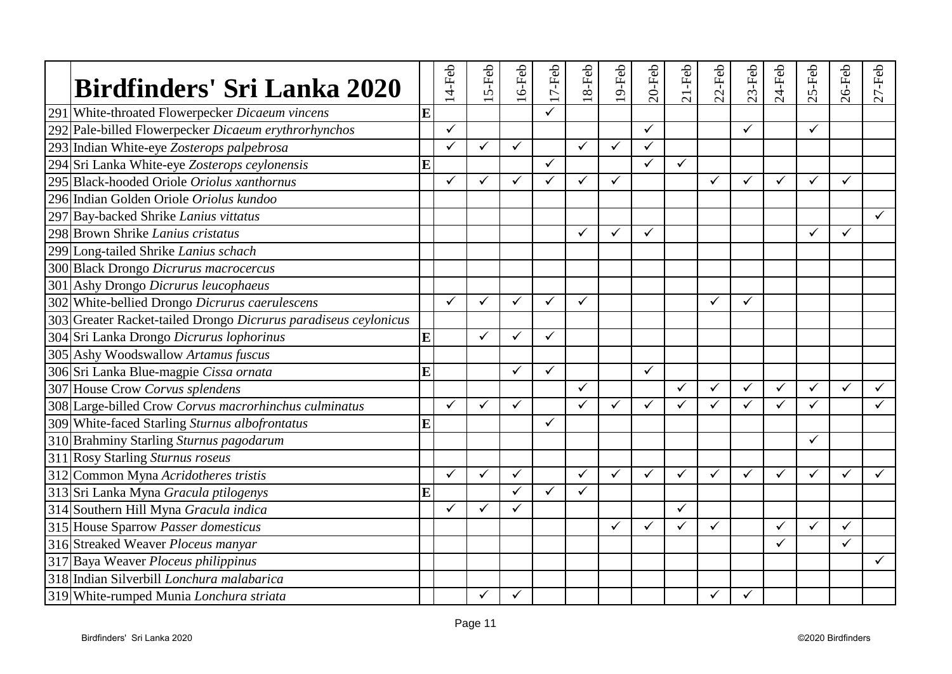| <b>Birdfinders' Sri Lanka 2020</b>                              |   | 14-Feb       | 5-Feb        | $16$ -Feb    | $17-Feb$     | $18-Feb$     | $19$ -Feb    | $20$ -Feb    | $21$ -Feb    | $22$ -Feb    | $23-Feb$     | $24-Feb$     | S-Feb<br>$\sim$ | $26$ -Feb    | $27 - Feb$   |
|-----------------------------------------------------------------|---|--------------|--------------|--------------|--------------|--------------|--------------|--------------|--------------|--------------|--------------|--------------|-----------------|--------------|--------------|
| 291 White-throated Flowerpecker Dicaeum vincens                 | E |              |              |              |              |              |              |              |              |              |              |              |                 |              |              |
| 292 Pale-billed Flowerpecker Dicaeum erythrorhynchos            |   | $\checkmark$ |              |              |              |              |              | ✓            |              |              | $\checkmark$ |              | $\checkmark$    |              |              |
| 293 Indian White-eye Zosterops palpebrosa                       |   | ✓            | ✓            | $\checkmark$ |              | ✓            | $\checkmark$ | ✓            |              |              |              |              |                 |              |              |
| 294 Sri Lanka White-eye Zosterops ceylonensis                   | E |              |              |              | $\checkmark$ |              |              | ✓            | $\checkmark$ |              |              |              |                 |              |              |
| 295 Black-hooded Oriole Oriolus xanthornus                      |   | $\checkmark$ | ✓            | ✓            | $\checkmark$ | ✓            | $\checkmark$ |              |              | $\checkmark$ | ✓            | ✓            | $\checkmark$    | ✓            |              |
| 296 Indian Golden Oriole Oriolus kundoo                         |   |              |              |              |              |              |              |              |              |              |              |              |                 |              |              |
| 297 Bay-backed Shrike Lanius vittatus                           |   |              |              |              |              |              |              |              |              |              |              |              |                 |              | $\checkmark$ |
| 298 Brown Shrike Lanius cristatus                               |   |              |              |              |              | ✓            | $\checkmark$ | $\checkmark$ |              |              |              |              | $\checkmark$    | $\checkmark$ |              |
| 299 Long-tailed Shrike Lanius schach                            |   |              |              |              |              |              |              |              |              |              |              |              |                 |              |              |
| 300 Black Drongo Dicrurus macrocercus                           |   |              |              |              |              |              |              |              |              |              |              |              |                 |              |              |
| 301 Ashy Drongo Dicrurus leucophaeus                            |   |              |              |              |              |              |              |              |              |              |              |              |                 |              |              |
| 302 White-bellied Drongo Dicrurus caerulescens                  |   | $\checkmark$ | ✓            | ✓            | $\checkmark$ | ✓            |              |              |              | ✓            | ✓            |              |                 |              |              |
| 303 Greater Racket-tailed Drongo Dicrurus paradiseus ceylonicus |   |              |              |              |              |              |              |              |              |              |              |              |                 |              |              |
| 304 Sri Lanka Drongo Dicrurus lophorinus                        | E |              | ✓            | $\checkmark$ | $\checkmark$ |              |              |              |              |              |              |              |                 |              |              |
| 305 Ashy Woodswallow Artamus fuscus                             |   |              |              |              |              |              |              |              |              |              |              |              |                 |              |              |
| 306 Sri Lanka Blue-magpie Cissa ornata                          | E |              |              | ✓            | $\checkmark$ |              |              | $\checkmark$ |              |              |              |              |                 |              |              |
| 307 House Crow Corvus splendens                                 |   |              |              |              |              | ✓            |              |              | ✓            | ✓            | $\checkmark$ | ✓            | $\checkmark$    | $\checkmark$ | $\checkmark$ |
| 308 Large-billed Crow Corvus macrorhinchus culminatus           |   | $\checkmark$ | $\checkmark$ | ✓            |              | $\checkmark$ | $\checkmark$ | $\checkmark$ | $\checkmark$ | $\checkmark$ | ✓            | ✓            | $\checkmark$    |              | ✓            |
| 309 White-faced Starling Sturnus albofrontatus                  | E |              |              |              | $\checkmark$ |              |              |              |              |              |              |              |                 |              |              |
| 310 Brahminy Starling Sturnus pagodarum                         |   |              |              |              |              |              |              |              |              |              |              |              | $\checkmark$    |              |              |
| 311 Rosy Starling Sturnus roseus                                |   |              |              |              |              |              |              |              |              |              |              |              |                 |              |              |
| 312 Common Myna Acridotheres tristis                            |   | $\checkmark$ | $\checkmark$ | $\checkmark$ |              | ✓            | $\checkmark$ | ✓            | $\checkmark$ | $\checkmark$ | ✓            | $\checkmark$ | $\checkmark$    | ✓            | ✓            |
| 313 Sri Lanka Myna Gracula ptilogenys                           | E |              |              | $\checkmark$ | $\checkmark$ | ✓            |              |              |              |              |              |              |                 |              |              |
| 314 Southern Hill Myna Gracula indica                           |   | $\checkmark$ | ✓            | $\checkmark$ |              |              |              |              | $\checkmark$ |              |              |              |                 |              |              |
| 315 House Sparrow Passer domesticus                             |   |              |              |              |              |              | $\checkmark$ | ✓            | ✓            | ✓            |              | ✓            | $\checkmark$    | ✓            |              |
| 316 Streaked Weaver Ploceus manyar                              |   |              |              |              |              |              |              |              |              |              |              | ✓            |                 | ✓            |              |
| 317 Baya Weaver Ploceus philippinus                             |   |              |              |              |              |              |              |              |              |              |              |              |                 |              |              |
| 318 Indian Silverbill Lonchura malabarica                       |   |              |              |              |              |              |              |              |              |              |              |              |                 |              |              |
| 319 White-rumped Munia Lonchura striata                         |   |              | ✓            | ✓            |              |              |              |              |              | ✓            | $\checkmark$ |              |                 |              |              |